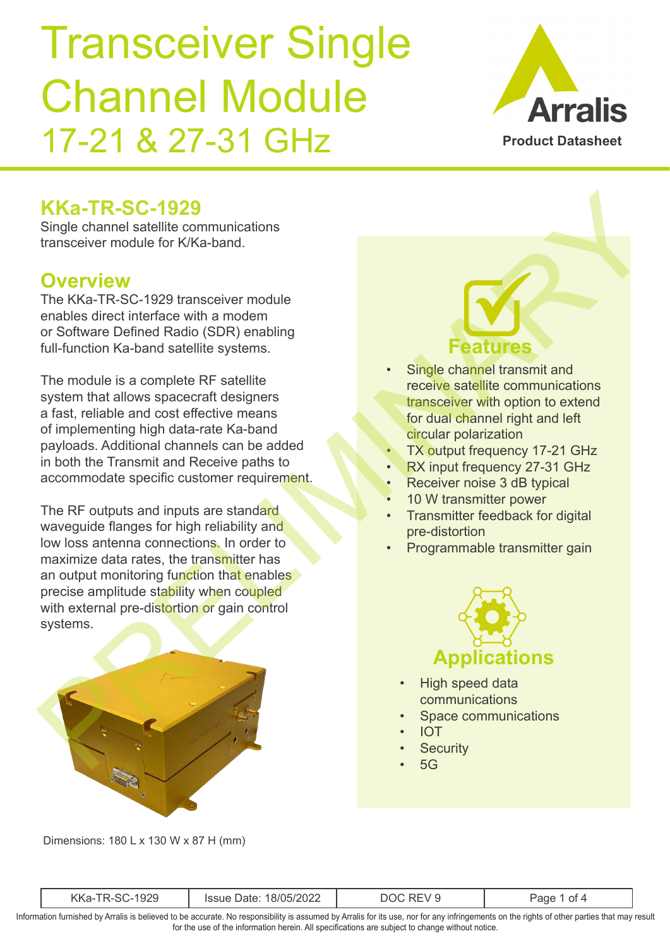

## **KKa-TR-SC-1929**

Single channel satellite communications transceiver module for K/Ka-band.

#### **Overview**

The KKa-TR-SC-1929 transceiver module enables direct interface with a modem or Software Defined Radio (SDR) enabling full-function Ka-band satellite systems.

The module is a complete RF satellite system that allows spacecraft designers a fast, reliable and cost effective means of implementing high data-rate Ka-band payloads. Additional channels can be added in both the Transmit and Receive paths to accommodate specific customer requirement.

The RF outputs and inputs are standard waveguide flanges for high reliability and low loss antenna connections. In order to maximize data rates, the transmitter has an output monitoring function that enables precise amplitude stability when coupled with external pre-distortion or gain control systems.  $\begin{tabular}{|c|c|c|c|c|} \hline \textbf{K} & \textbf{R} & \textbf{R} & \textbf{R} & \textbf{R} & \textbf{R} & \textbf{R} & \textbf{R} & \textbf{R} & \textbf{R} & \textbf{R} & \textbf{R} & \textbf{R} & \textbf{R} & \textbf{R} & \textbf{R} & \textbf{R} & \textbf{R} & \textbf{R} & \textbf{R} & \textbf{R} & \textbf{R} & \textbf{R} & \textbf{R} & \textbf{R} & \textbf{R} & \textbf{R} & \textbf{R} & \textbf$ 



**Features**

- Single channel transmit and receive satellite communications transceiver with option to extend for dual channel right and left circular polarization
- **TX output frequency 17-21 GHz**
- RX input frequency 27-31 GHz
- Receiver noise 3 dB typical
- 10 W transmitter power
- Transmitter feedback for digital pre-distortion
- Programmable transmitter gain



- High speed data communications
- Space communications
- IOT
- **Security**
- $5G$

Dimensions: 180 L x 130 W x 87 H (mm)

| $\mathcal{L}$<br>זרי<br>IZ IZ<br>Νľ<br>the contract of the contract of the | - 116<br>◡∠∠<br>$\sim$ |  | Of $\prime$<br>аоғ |  |
|----------------------------------------------------------------------------|------------------------|--|--------------------|--|
|----------------------------------------------------------------------------|------------------------|--|--------------------|--|

Information furnished by Arralis is believed to be accurate. No responsibility is assumed by Arralis for its use, nor for any infringements on the rights of other parties that may result for the use of the information herein. All specifications are subject to change without notice.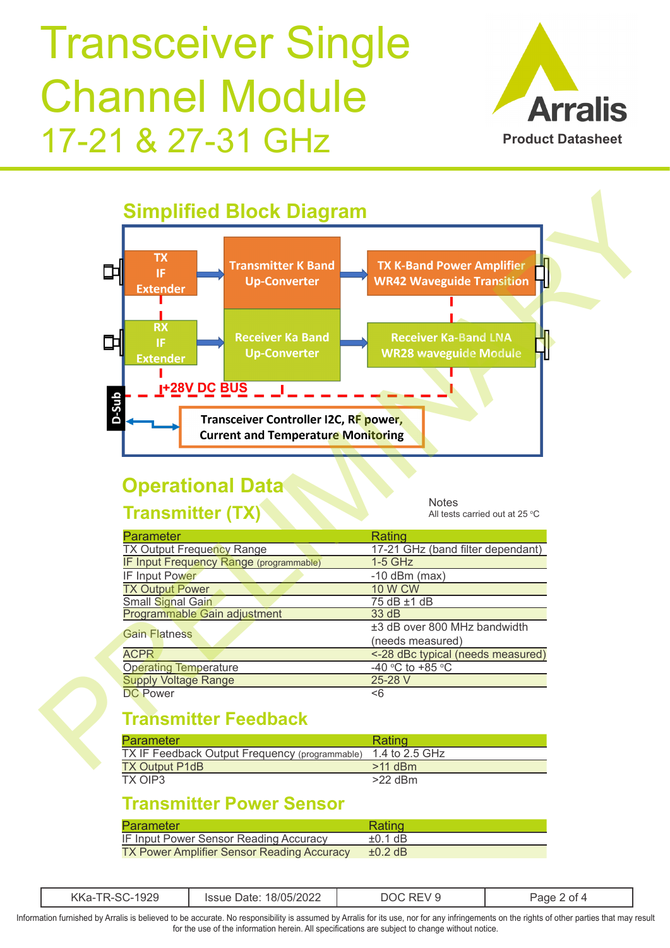



## **Operational Data**

#### **Transmitter (TX)**

**Notes** All tests carried out at 25  $\mathrm{^{\circ}C}$ 

| <b>Parameter</b>                        | Rating                            |
|-----------------------------------------|-----------------------------------|
| <b>TX Output Frequency Range</b>        | 17-21 GHz (band filter dependant) |
| IF Input Frequency Range (programmable) | $1-5$ GHz                         |
| IF Input Power                          | $-10$ dBm (max)                   |
| <b>TX Output Power</b>                  | <b>10 W CW</b>                    |
| Small Signal Gain                       | 75 dB ±1 dB                       |
| Programmable Gain adjustment            | 33 dB                             |
| <b>Gain Flatness</b>                    | ±3 dB over 800 MHz bandwidth      |
|                                         | (needs measured)                  |
| <b>ACPR</b>                             | <-28 dBc typical (needs measured) |
| <b>Operating Temperature</b>            | -40 °C to +85 °C                  |
| <b>Supply Voltage Range</b>             | 25-28 V                           |
| <b>DC Power</b>                         | <6                                |

#### **Transmitter Feedback**

| Parameter                                      | Rating         |
|------------------------------------------------|----------------|
| TX IF Feedback Output Frequency (programmable) | 1.4 to 2.5 GHz |
| <b>TX Output P1dB</b>                          | $>11$ dBm      |
| TX OIP3                                        | $>22$ dBm      |

#### **Transmitter Power Sensor**

| Parameter                                         | Rating       |
|---------------------------------------------------|--------------|
| IF Input Power Sensor Reading Accuracy            | $\pm 0.1$ dB |
| <b>TX Power Amplifier Sensor Reading Accuracy</b> | $\pm 0.2$ dB |

|  | $\sim$ $\sim$ $\sim$ $\sim$ $\sim$ $\sim$ $\sim$ |  |
|--|--------------------------------------------------|--|

Information furnished by Arralis is believed to be accurate. No responsibility is assumed by Arralis for its use, nor for any infringements on the rights of other parties that may result for the use of the information herein. All specifications are subject to change without notice.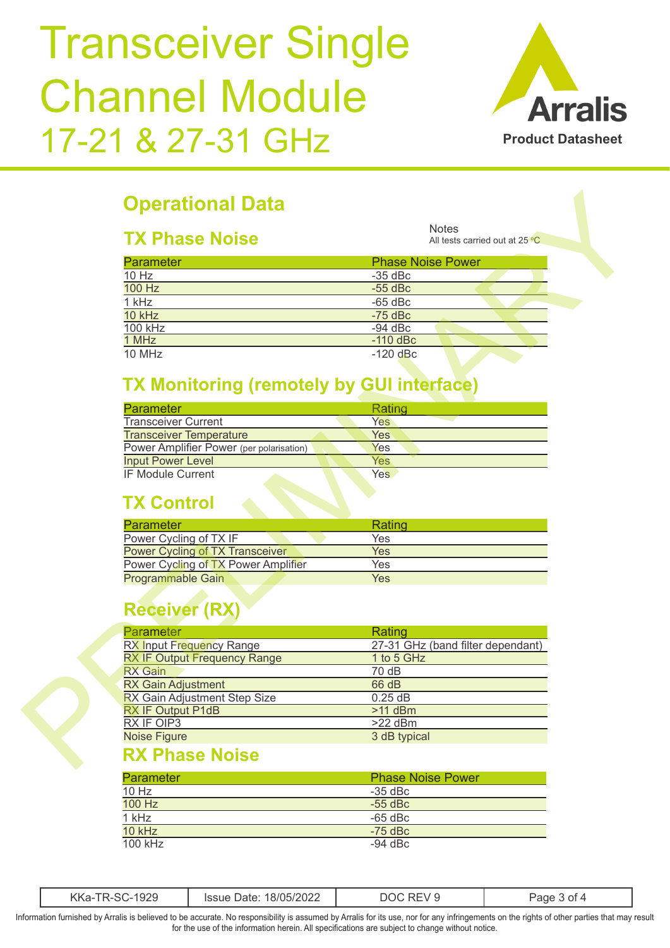

## **Operational Data**

#### **TX Phase Noise**

| <b>Parameter</b> | <b>Phase Noise Power</b> |  |
|------------------|--------------------------|--|
| $10$ Hz          | $-35$ dBc                |  |
| 100 Hz           | $-55$ dBc                |  |
| 1 kHz            | $-65$ dBc                |  |
| 10 kHz           | $-75$ dBc                |  |
| $100$ kHz        | $-94$ dBc                |  |
| 1 MHz            | $-110$ dBc               |  |
| 10 MHz           | $-120$ dBc               |  |

#### **TX Monitoring (remotely by GUI interface)**

| <b>Parameter</b>                         | Rating     |
|------------------------------------------|------------|
| <b>Transceiver Current</b>               | Yes        |
| <b>Transceiver Temperature</b>           | Yes        |
| Power Amplifier Power (per polarisation) | Yes        |
| <b>Input Power Level</b>                 | Yes        |
| <b>IF Module Current</b>                 | <b>Yes</b> |

## **TX Control**

| <b>Parameter</b>                       | Rating |  |
|----------------------------------------|--------|--|
| Power Cycling of TX IF                 | Yes    |  |
| <b>Power Cycling of TX Transceiver</b> | Yes    |  |
| Power Cycling of TX Power Amplifier    | Yes    |  |
| <b>Programmable Gain</b>               | Yes    |  |
|                                        |        |  |

## **Receiver (RX)**

| <b>TX Phase Noise</b>                            | <b>Notes</b><br>All tests carried out at 25 °C |
|--------------------------------------------------|------------------------------------------------|
| <b>Parameter</b>                                 | <b>Phase Noise Power</b>                       |
| 10 Hz                                            | $-35$ dBc                                      |
| 100 Hz                                           | $-55$ dBc                                      |
| 1 kHz                                            | $-65$ dBc                                      |
| 10 kHz                                           | $-75$ dBc                                      |
| <b>100 kHz</b>                                   | $-94$ dBc                                      |
| 1 MHz                                            | $-110$ dBc                                     |
| 10 MHz                                           | $-120$ dBc                                     |
| <b>TX Monitoring (remotely by GUI interface)</b> |                                                |
| <b>Parameter</b>                                 | Rating                                         |
| <b>Transceiver Current</b>                       | Yes                                            |
| <b>Transceiver Temperature</b>                   | <b>Yes</b>                                     |
| Power Amplifier Power (per polarisation)         | Yes                                            |
| <b>Input Power Level</b>                         | <b>Yes</b>                                     |
|                                                  |                                                |
| <b>IF Module Current</b>                         | Yes                                            |
| <b>TX Control</b><br><b>Parameter</b>            | Rating                                         |
| Power Cycling of TX IF                           | Yes                                            |
| <b>Power Cycling of TX Transceiver</b>           | <b>Yes</b>                                     |
| Power Cycling of TX Power Amplifier              | Yes                                            |
| <b>Programmable Gain</b>                         | <b>Yes</b>                                     |
| <b>Receiver (RX)</b>                             |                                                |
| Parameter                                        | Rating                                         |
| RX Input Frequency Range                         |                                                |
| <b>RX IF Output Frequency Range</b>              | 1 to 5 GHz                                     |
| <b>RX</b> Gain                                   | 70dB                                           |
| <b>RX Gain Adjustment</b>                        | 66 dB                                          |
| RX Gain Adjustment Step Size                     | 0.25dB                                         |
|                                                  | $>11$ dBm                                      |
| RX IF Output P1dB<br>RX IF OIP3                  | 27-31 GHz (band filter dependant)<br>$>22$ dBm |

#### **RX Phase Noise**

| <b>Parameter</b> | <b>Phase Noise Power</b> |
|------------------|--------------------------|
| $10$ Hz          | $-35$ dBc                |
| 100 Hz           | $-55$ dBc                |
| $1$ kHz          | $-65$ dBc                |
| 10 kHz           | $-75$ dBc                |
| 100 kHz          | $-94$ dBc                |

| $\sim$ $\sim$ $\sim$<br>, י<br>- INNA | . מ טומ<br>סומנ<br>JLL. | M |  |
|---------------------------------------|-------------------------|---|--|
|---------------------------------------|-------------------------|---|--|

Information furnished by Arralis is believed to be accurate. No responsibility is assumed by Arralis for its use, nor for any infringements on the rights of other parties that may result for the use of the information herein. All specifications are subject to change without notice.